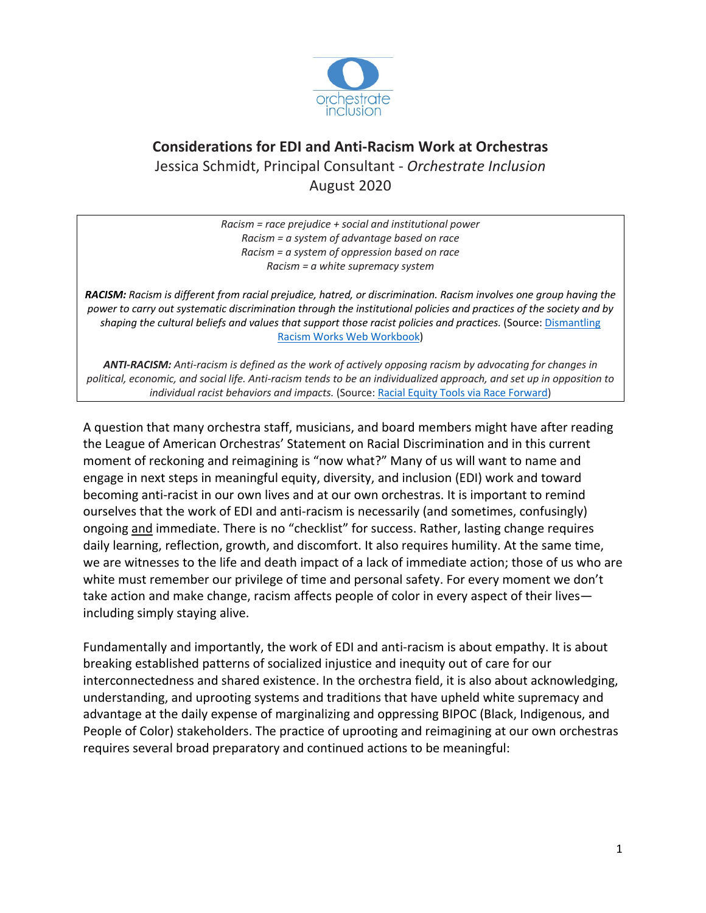

# **Considerations for EDI and Anti-Racism Work at Orchestras** Jessica Schmidt, Principal Consultant - *Orchestrate Inclusion* August 2020

*Racism = race prejudice + social and institutional power Racism = a system of advantage based on race Racism = a system of oppression based on race Racism = a white supremacy system*

*RACISM: Racism is different from racial prejudice, hatred, or discrimination. Racism involves one group having the power to carry out systematic discrimination through the institutional policies and practices of the society and by shaping the cultural beliefs and values that support those racist policies and practices.* (Source: Dismantling Racism Works Web Workbook)

*ANTI-RACISM: Anti-racism is defined as the work of actively opposing racism by advocating for changes in political, economic, and social life. Anti-racism tends to be an individualized approach, and set up in opposition to individual racist behaviors and impacts.* (Source: Racial Equity Tools via Race Forward)

A question that many orchestra staff, musicians, and board members might have after reading the League of American Orchestras' Statement on Racial Discrimination and in this current moment of reckoning and reimagining is "now what?" Many of us will want to name and engage in next steps in meaningful equity, diversity, and inclusion (EDI) work and toward becoming anti-racist in our own lives and at our own orchestras. It is important to remind ourselves that the work of EDI and anti-racism is necessarily (and sometimes, confusingly) ongoing and immediate. There is no "checklist" for success. Rather, lasting change requires daily learning, reflection, growth, and discomfort. It also requires humility. At the same time, we are witnesses to the life and death impact of a lack of immediate action; those of us who are white must remember our privilege of time and personal safety. For every moment we don't take action and make change, racism affects people of color in every aspect of their lives including simply staying alive.

Fundamentally and importantly, the work of EDI and anti-racism is about empathy. It is about breaking established patterns of socialized injustice and inequity out of care for our interconnectedness and shared existence. In the orchestra field, it is also about acknowledging, understanding, and uprooting systems and traditions that have upheld white supremacy and advantage at the daily expense of marginalizing and oppressing BIPOC (Black, Indigenous, and People of Color) stakeholders. The practice of uprooting and reimagining at our own orchestras requires several broad preparatory and continued actions to be meaningful: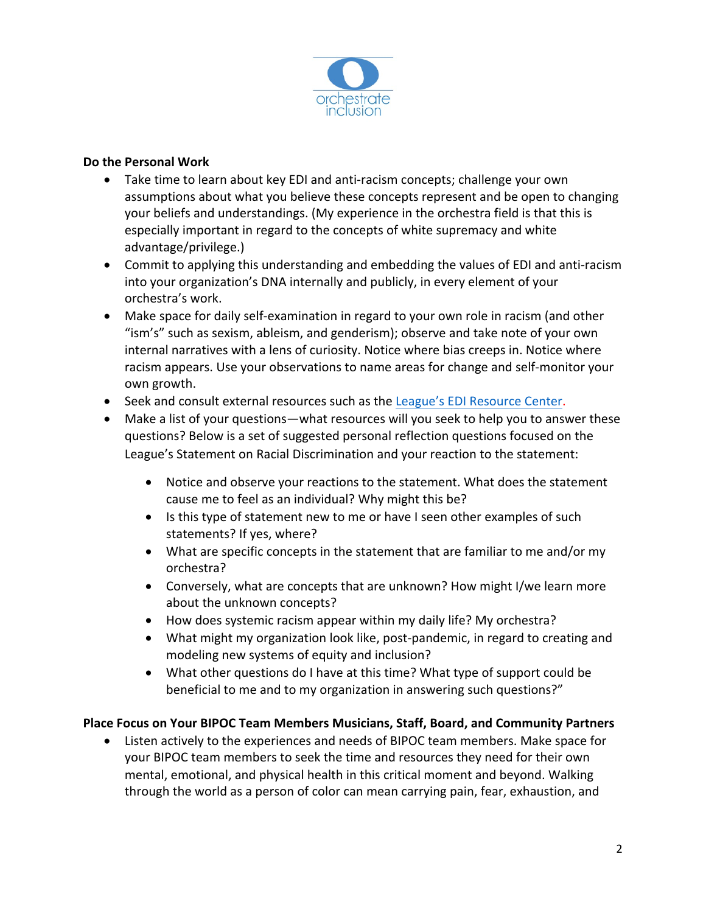

## **Do the Personal Work**

- Take time to learn about key EDI and anti-racism concepts; challenge your own assumptions about what you believe these concepts represent and be open to changing your beliefs and understandings. (My experience in the orchestra field is that this is especially important in regard to the concepts of white supremacy and white advantage/privilege.)
- Commit to applying this understanding and embedding the values of EDI and anti-racism into your organization's DNA internally and publicly, in every element of your orchestra's work.
- Make space for daily self-examination in regard to your own role in racism (and other "ism's" such as sexism, ableism, and genderism); observe and take note of your own internal narratives with a lens of curiosity. Notice where bias creeps in. Notice where racism appears. Use your observations to name areas for change and self-monitor your own growth.
- Seek and consult external resources such as the League's EDI Resource Center.
- Make a list of your questions—what resources will you seek to help you to answer these questions? Below is a set of suggested personal reflection questions focused on the League's Statement on Racial Discrimination and your reaction to the statement:
	- Notice and observe your reactions to the statement. What does the statement cause me to feel as an individual? Why might this be?
	- Is this type of statement new to me or have I seen other examples of such statements? If yes, where?
	- What are specific concepts in the statement that are familiar to me and/or my orchestra?
	- Conversely, what are concepts that are unknown? How might I/we learn more about the unknown concepts?
	- How does systemic racism appear within my daily life? My orchestra?
	- What might my organization look like, post-pandemic, in regard to creating and modeling new systems of equity and inclusion?
	- What other questions do I have at this time? What type of support could be beneficial to me and to my organization in answering such questions?"

# **Place Focus on Your BIPOC Team Members Musicians, Staff, Board, and Community Partners**

• Listen actively to the experiences and needs of BIPOC team members. Make space for your BIPOC team members to seek the time and resources they need for their own mental, emotional, and physical health in this critical moment and beyond. Walking through the world as a person of color can mean carrying pain, fear, exhaustion, and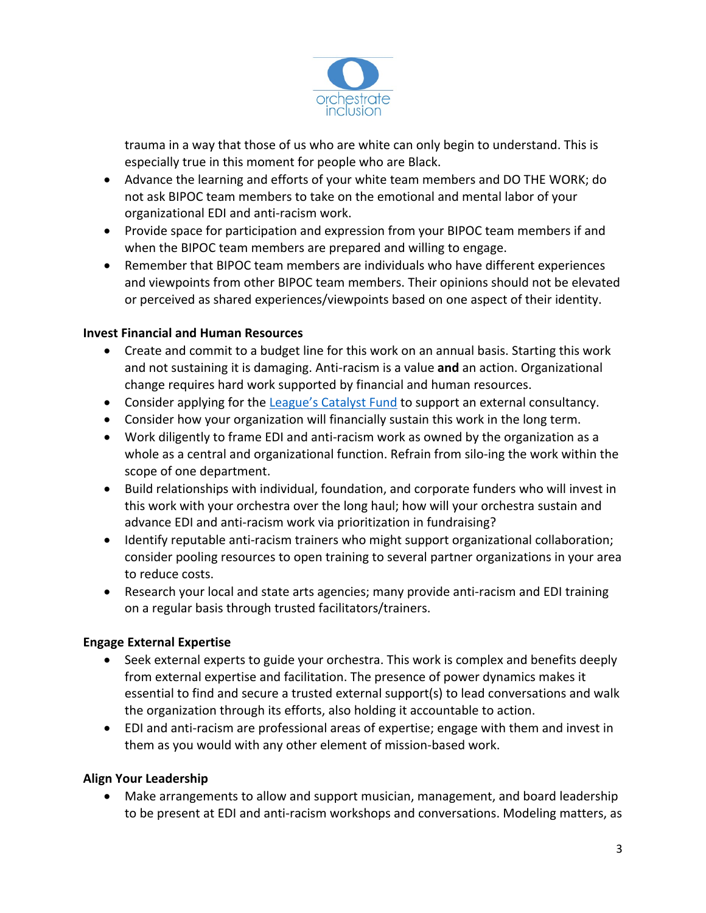

trauma in a way that those of us who are white can only begin to understand. This is especially true in this moment for people who are Black.

- Advance the learning and efforts of your white team members and DO THE WORK; do not ask BIPOC team members to take on the emotional and mental labor of your organizational EDI and anti-racism work.
- Provide space for participation and expression from your BIPOC team members if and when the BIPOC team members are prepared and willing to engage.
- Remember that BIPOC team members are individuals who have different experiences and viewpoints from other BIPOC team members. Their opinions should not be elevated or perceived as shared experiences/viewpoints based on one aspect of their identity.

# **Invest Financial and Human Resources**

- Create and commit to a budget line for this work on an annual basis. Starting this work and not sustaining it is damaging. Anti-racism is a value **and** an action. Organizational change requires hard work supported by financial and human resources.
- Consider applying for the League's Catalyst Fund to support an external consultancy.
- Consider how your organization will financially sustain this work in the long term.
- Work diligently to frame EDI and anti-racism work as owned by the organization as a whole as a central and organizational function. Refrain from silo-ing the work within the scope of one department.
- Build relationships with individual, foundation, and corporate funders who will invest in this work with your orchestra over the long haul; how will your orchestra sustain and advance EDI and anti-racism work via prioritization in fundraising?
- Identify reputable anti-racism trainers who might support organizational collaboration; consider pooling resources to open training to several partner organizations in your area to reduce costs.
- Research your local and state arts agencies; many provide anti-racism and EDI training on a regular basis through trusted facilitators/trainers.

# **Engage External Expertise**

- Seek external experts to guide your orchestra. This work is complex and benefits deeply from external expertise and facilitation. The presence of power dynamics makes it essential to find and secure a trusted external support(s) to lead conversations and walk the organization through its efforts, also holding it accountable to action.
- EDI and anti-racism are professional areas of expertise; engage with them and invest in them as you would with any other element of mission-based work.

#### **Align Your Leadership**

• Make arrangements to allow and support musician, management, and board leadership to be present at EDI and anti-racism workshops and conversations. Modeling matters, as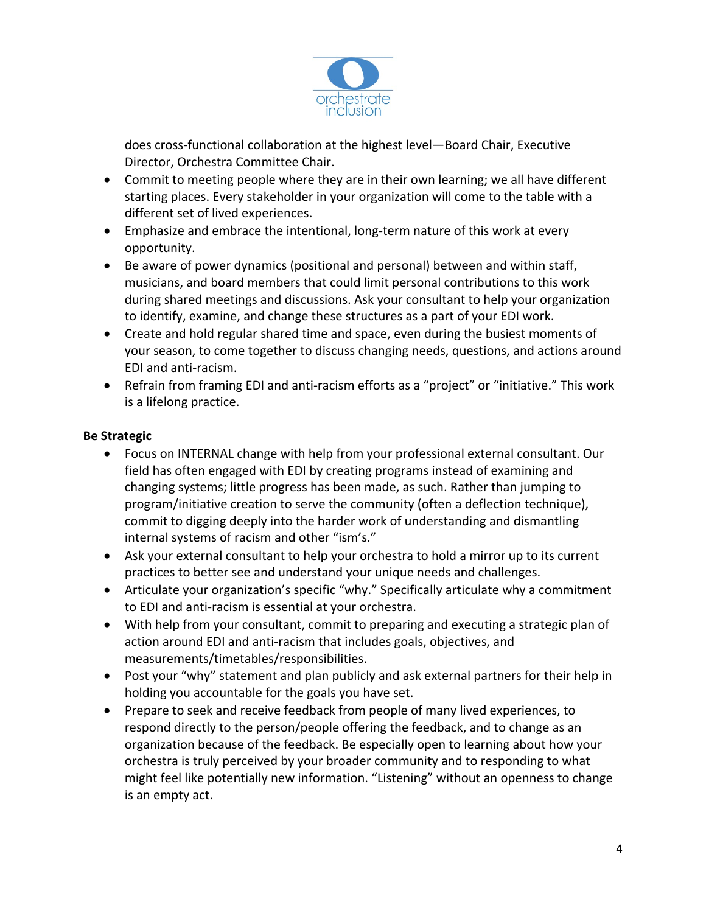

does cross-functional collaboration at the highest level—Board Chair, Executive Director, Orchestra Committee Chair.

- Commit to meeting people where they are in their own learning; we all have different starting places. Every stakeholder in your organization will come to the table with a different set of lived experiences.
- Emphasize and embrace the intentional, long-term nature of this work at every opportunity.
- Be aware of power dynamics (positional and personal) between and within staff, musicians, and board members that could limit personal contributions to this work during shared meetings and discussions. Ask your consultant to help your organization to identify, examine, and change these structures as a part of your EDI work.
- Create and hold regular shared time and space, even during the busiest moments of your season, to come together to discuss changing needs, questions, and actions around EDI and anti-racism.
- Refrain from framing EDI and anti-racism efforts as a "project" or "initiative." This work is a lifelong practice.

# **Be Strategic**

- Focus on INTERNAL change with help from your professional external consultant. Our field has often engaged with EDI by creating programs instead of examining and changing systems; little progress has been made, as such. Rather than jumping to program/initiative creation to serve the community (often a deflection technique), commit to digging deeply into the harder work of understanding and dismantling internal systems of racism and other "ism's."
- Ask your external consultant to help your orchestra to hold a mirror up to its current practices to better see and understand your unique needs and challenges.
- Articulate your organization's specific "why." Specifically articulate why a commitment to EDI and anti-racism is essential at your orchestra.
- With help from your consultant, commit to preparing and executing a strategic plan of action around EDI and anti-racism that includes goals, objectives, and measurements/timetables/responsibilities.
- Post your "why" statement and plan publicly and ask external partners for their help in holding you accountable for the goals you have set.
- Prepare to seek and receive feedback from people of many lived experiences, to respond directly to the person/people offering the feedback, and to change as an organization because of the feedback. Be especially open to learning about how your orchestra is truly perceived by your broader community and to responding to what might feel like potentially new information. "Listening" without an openness to change is an empty act.